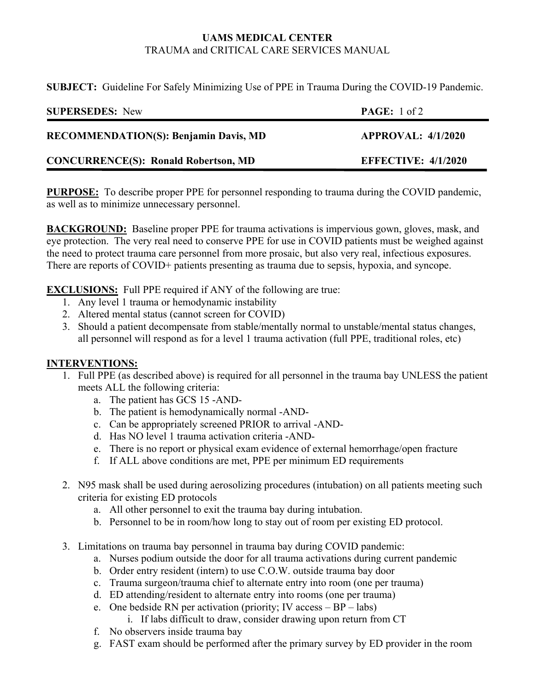## **UAMS MEDICAL CENTER**  TRAUMA and CRITICAL CARE SERVICES MANUAL

**SUBJECT:** Guideline For Safely Minimizing Use of PPE in Trauma During the COVID-19 Pandemic.

| <b>SUPERSEDES:</b> New                       | <b>PAGE:</b> $1 \text{ of } 2$ |
|----------------------------------------------|--------------------------------|
| <b>RECOMMENDATION(S): Benjamin Davis, MD</b> | <b>APPROVAL: 4/1/2020</b>      |
| <b>CONCURRENCE(S): Ronald Robertson, MD</b>  | <b>EFFECTIVE: 4/1/2020</b>     |

**PURPOSE:** To describe proper PPE for personnel responding to trauma during the COVID pandemic, as well as to minimize unnecessary personnel.

**BACKGROUND:** Baseline proper PPE for trauma activations is impervious gown, gloves, mask, and eye protection. The very real need to conserve PPE for use in COVID patients must be weighed against the need to protect trauma care personnel from more prosaic, but also very real, infectious exposures. There are reports of COVID+ patients presenting as trauma due to sepsis, hypoxia, and syncope.

**EXCLUSIONS:** Full PPE required if ANY of the following are true:

- 1. Any level 1 trauma or hemodynamic instability
- 2. Altered mental status (cannot screen for COVID)
- 3. Should a patient decompensate from stable/mentally normal to unstable/mental status changes, all personnel will respond as for a level 1 trauma activation (full PPE, traditional roles, etc)

## **INTERVENTIONS:**

- 1. Full PPE (as described above) is required for all personnel in the trauma bay UNLESS the patient meets ALL the following criteria:
	- a. The patient has GCS 15 -AND-
	- b. The patient is hemodynamically normal -AND-
	- c. Can be appropriately screened PRIOR to arrival -AND-
	- d. Has NO level 1 trauma activation criteria -AND-
	- e. There is no report or physical exam evidence of external hemorrhage/open fracture
	- f. If ALL above conditions are met, PPE per minimum ED requirements
- 2. N95 mask shall be used during aerosolizing procedures (intubation) on all patients meeting such criteria for existing ED protocols
	- a. All other personnel to exit the trauma bay during intubation.
	- b. Personnel to be in room/how long to stay out of room per existing ED protocol.
- 3. Limitations on trauma bay personnel in trauma bay during COVID pandemic:
	- a. Nurses podium outside the door for all trauma activations during current pandemic
	- b. Order entry resident (intern) to use C.O.W. outside trauma bay door
	- c. Trauma surgeon/trauma chief to alternate entry into room (one per trauma)
	- d. ED attending/resident to alternate entry into rooms (one per trauma)
	- e. One bedside RN per activation (priority; IV access BP labs)
		- i. If labs difficult to draw, consider drawing upon return from CT
	- f. No observers inside trauma bay
	- g. FAST exam should be performed after the primary survey by ED provider in the room